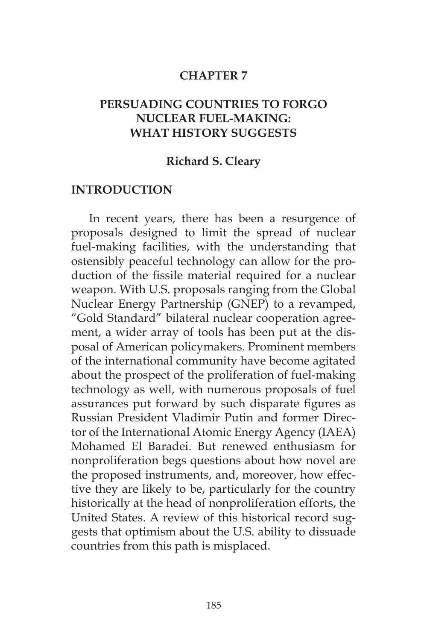#### **CHAPTER 7**

## **PERSUADING COUNTRIES TO FORGO NUCLEAR FUEL-MAKING: WHAT HISTORY SUGGESTS**

#### **Richard S. Cleary**

#### **INTRODUCTION**

In recent years, there has been a resurgence of proposals designed to limit the spread of nuclear fuel-making facilities, with the understanding that ostensibly peaceful technology can allow for the production of the fissile material required for a nuclear weapon. With U.S. proposals ranging from the Global Nuclear Energy Partnership (GNEP) to a revamped, "Gold Standard" bilateral nuclear cooperation agreement, a wider array of tools has been put at the disposal of American policymakers. Prominent members of the international community have become agitated about the prospect of the proliferation of fuel-making technology as well, with numerous proposals of fuel assurances put forward by such disparate figures as Russian President Vladimir Putin and former Director of the International Atomic Energy Agency (IAEA) Mohamed El Baradei. But renewed enthusiasm for nonproliferation begs questions about how novel are the proposed instruments, and, moreover, how effective they are likely to be, particularly for the country historically at the head of nonproliferation efforts, the United States. A review of this historical record suggests that optimism about the U.S. ability to dissuade countries from this path is misplaced.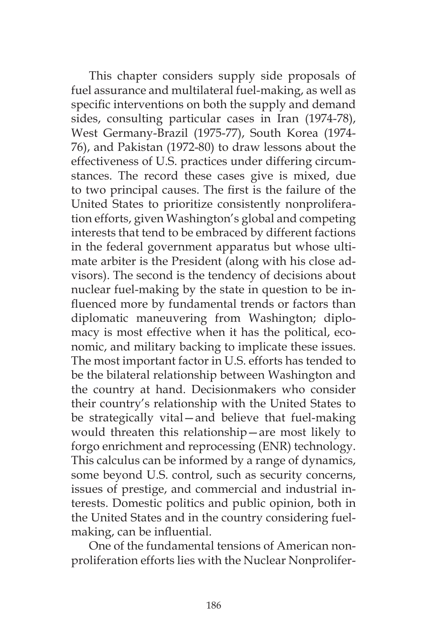This chapter considers supply side proposals of fuel assurance and multilateral fuel-making, as well as specific interventions on both the supply and demand sides, consulting particular cases in Iran (1974-78), West Germany-Brazil (1975-77), South Korea (1974- 76), and Pakistan (1972-80) to draw lessons about the effectiveness of U.S. practices under differing circumstances. The record these cases give is mixed, due to two principal causes. The first is the failure of the United States to prioritize consistently nonproliferation efforts, given Washington's global and competing interests that tend to be embraced by different factions in the federal government apparatus but whose ultimate arbiter is the President (along with his close advisors). The second is the tendency of decisions about nuclear fuel-making by the state in question to be influenced more by fundamental trends or factors than diplomatic maneuvering from Washington; diplomacy is most effective when it has the political, economic, and military backing to implicate these issues. The most important factor in U.S. efforts has tended to be the bilateral relationship between Washington and the country at hand. Decisionmakers who consider their country's relationship with the United States to be strategically vital—and believe that fuel-making would threaten this relationship—are most likely to forgo enrichment and reprocessing (ENR) technology. This calculus can be informed by a range of dynamics, some beyond U.S. control, such as security concerns, issues of prestige, and commercial and industrial interests. Domestic politics and public opinion, both in the United States and in the country considering fuelmaking, can be influential.

One of the fundamental tensions of American nonproliferation efforts lies with the Nuclear Nonprolifer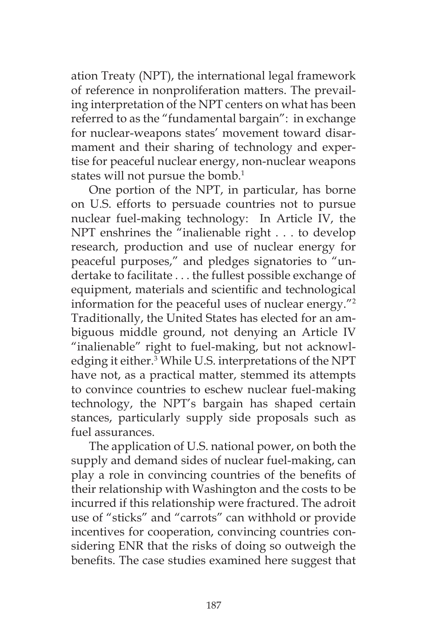ation Treaty (NPT), the international legal framework of reference in nonproliferation matters. The prevailing interpretation of the NPT centers on what has been referred to as the "fundamental bargain": in exchange for nuclear-weapons states' movement toward disarmament and their sharing of technology and expertise for peaceful nuclear energy, non-nuclear weapons states will not pursue the bomb.<sup>1</sup>

One portion of the NPT, in particular, has borne on U.S. efforts to persuade countries not to pursue nuclear fuel-making technology: In Article IV, the NPT enshrines the "inalienable right . . . to develop research, production and use of nuclear energy for peaceful purposes," and pledges signatories to "undertake to facilitate . . . the fullest possible exchange of equipment, materials and scientific and technological information for the peaceful uses of nuclear energy."2 Traditionally, the United States has elected for an ambiguous middle ground, not denying an Article IV "inalienable" right to fuel-making, but not acknowledging it either.3 While U.S. interpretations of the NPT have not, as a practical matter, stemmed its attempts to convince countries to eschew nuclear fuel-making technology, the NPT's bargain has shaped certain stances, particularly supply side proposals such as fuel assurances.

The application of U.S. national power, on both the supply and demand sides of nuclear fuel-making, can play a role in convincing countries of the benefits of their relationship with Washington and the costs to be incurred if this relationship were fractured. The adroit use of "sticks" and "carrots" can withhold or provide incentives for cooperation, convincing countries considering ENR that the risks of doing so outweigh the benefits. The case studies examined here suggest that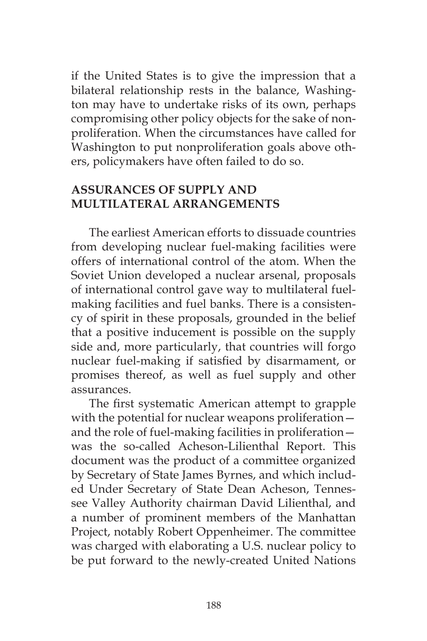if the United States is to give the impression that a bilateral relationship rests in the balance, Washington may have to undertake risks of its own, perhaps compromising other policy objects for the sake of nonproliferation. When the circumstances have called for Washington to put nonproliferation goals above others, policymakers have often failed to do so.

## **ASSURANCES OF SUPPLY AND MULTILATERAL ARRANGEMENTS**

The earliest American efforts to dissuade countries from developing nuclear fuel-making facilities were offers of international control of the atom. When the Soviet Union developed a nuclear arsenal, proposals of international control gave way to multilateral fuelmaking facilities and fuel banks. There is a consistency of spirit in these proposals, grounded in the belief that a positive inducement is possible on the supply side and, more particularly, that countries will forgo nuclear fuel-making if satisfied by disarmament, or promises thereof, as well as fuel supply and other assurances.

The first systematic American attempt to grapple with the potential for nuclear weapons proliferation and the role of fuel-making facilities in proliferation was the so-called Acheson-Lilienthal Report. This document was the product of a committee organized by Secretary of State James Byrnes, and which included Under Secretary of State Dean Acheson, Tennessee Valley Authority chairman David Lilienthal, and a number of prominent members of the Manhattan Project, notably Robert Oppenheimer. The committee was charged with elaborating a U.S. nuclear policy to be put forward to the newly-created United Nations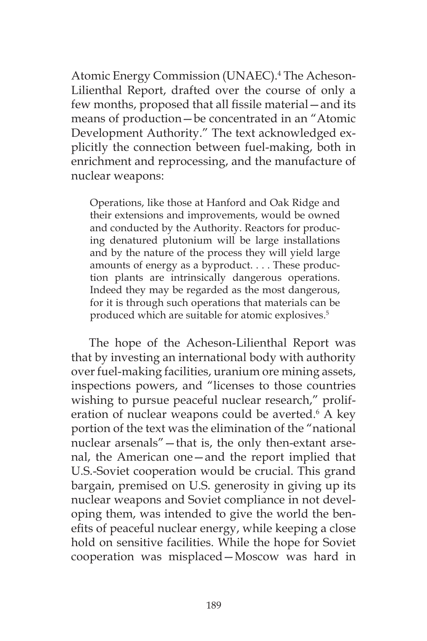Atomic Energy Commission (UNAEC).4 The Acheson-Lilienthal Report, drafted over the course of only a few months, proposed that all fissile material—and its means of production—be concentrated in an "Atomic Development Authority." The text acknowledged explicitly the connection between fuel-making, both in enrichment and reprocessing, and the manufacture of nuclear weapons:

Operations, like those at Hanford and Oak Ridge and their extensions and improvements, would be owned and conducted by the Authority. Reactors for producing denatured plutonium will be large installations and by the nature of the process they will yield large amounts of energy as a byproduct. . . . These production plants are intrinsically dangerous operations. Indeed they may be regarded as the most dangerous, for it is through such operations that materials can be produced which are suitable for atomic explosives.<sup>5</sup>

The hope of the Acheson-Lilienthal Report was that by investing an international body with authority over fuel-making facilities, uranium ore mining assets, inspections powers, and "licenses to those countries wishing to pursue peaceful nuclear research," proliferation of nuclear weapons could be averted.<sup>6</sup> A key portion of the text was the elimination of the "national nuclear arsenals"—that is, the only then-extant arsenal, the American one—and the report implied that U.S.-Soviet cooperation would be crucial. This grand bargain, premised on U.S. generosity in giving up its nuclear weapons and Soviet compliance in not developing them, was intended to give the world the benefits of peaceful nuclear energy, while keeping a close hold on sensitive facilities. While the hope for Soviet cooperation was misplaced—Moscow was hard in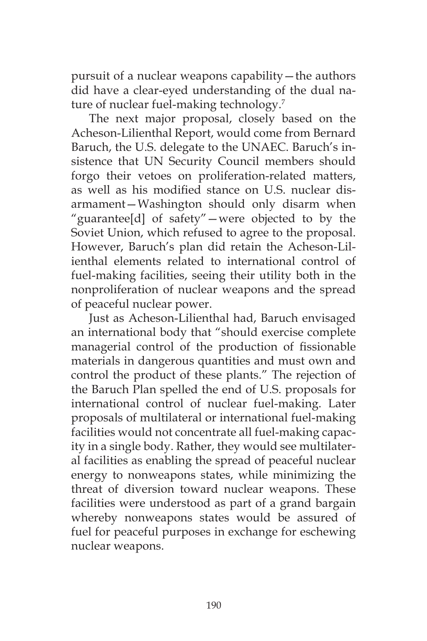pursuit of a nuclear weapons capability—the authors did have a clear-eyed understanding of the dual nature of nuclear fuel-making technology.<sup>7</sup>

The next major proposal, closely based on the Acheson-Lilienthal Report, would come from Bernard Baruch, the U.S. delegate to the UNAEC. Baruch's insistence that UN Security Council members should forgo their vetoes on proliferation-related matters, as well as his modified stance on U.S. nuclear disarmament—Washington should only disarm when "guarantee[d] of safety"—were objected to by the Soviet Union, which refused to agree to the proposal. However, Baruch's plan did retain the Acheson-Lilienthal elements related to international control of fuel-making facilities, seeing their utility both in the nonproliferation of nuclear weapons and the spread of peaceful nuclear power.

Just as Acheson-Lilienthal had, Baruch envisaged an international body that "should exercise complete managerial control of the production of fissionable materials in dangerous quantities and must own and control the product of these plants." The rejection of the Baruch Plan spelled the end of U.S. proposals for international control of nuclear fuel-making. Later proposals of multilateral or international fuel-making facilities would not concentrate all fuel-making capacity in a single body. Rather, they would see multilateral facilities as enabling the spread of peaceful nuclear energy to nonweapons states, while minimizing the threat of diversion toward nuclear weapons. These facilities were understood as part of a grand bargain whereby nonweapons states would be assured of fuel for peaceful purposes in exchange for eschewing nuclear weapons.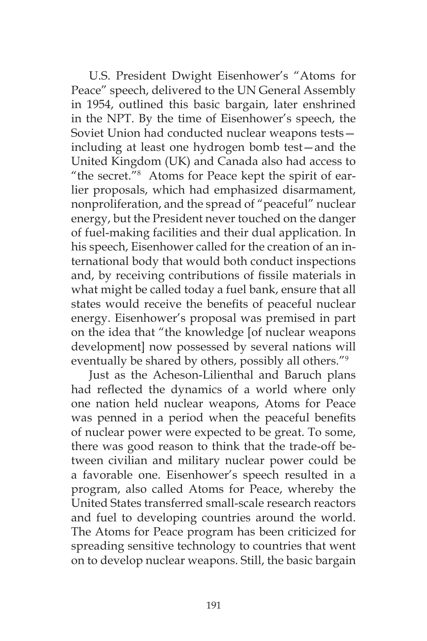U.S. President Dwight Eisenhower's "Atoms for Peace" speech, delivered to the UN General Assembly in 1954, outlined this basic bargain, later enshrined in the NPT. By the time of Eisenhower's speech, the Soviet Union had conducted nuclear weapons tests including at least one hydrogen bomb test—and the United Kingdom (UK) and Canada also had access to "the secret."8 Atoms for Peace kept the spirit of earlier proposals, which had emphasized disarmament, nonproliferation, and the spread of "peaceful" nuclear energy, but the President never touched on the danger of fuel-making facilities and their dual application. In his speech, Eisenhower called for the creation of an international body that would both conduct inspections and, by receiving contributions of fissile materials in what might be called today a fuel bank, ensure that all states would receive the benefits of peaceful nuclear energy. Eisenhower's proposal was premised in part on the idea that "the knowledge [of nuclear weapons development] now possessed by several nations will eventually be shared by others, possibly all others."9

Just as the Acheson-Lilienthal and Baruch plans had reflected the dynamics of a world where only one nation held nuclear weapons, Atoms for Peace was penned in a period when the peaceful benefits of nuclear power were expected to be great. To some, there was good reason to think that the trade-off between civilian and military nuclear power could be a favorable one. Eisenhower's speech resulted in a program, also called Atoms for Peace, whereby the United States transferred small-scale research reactors and fuel to developing countries around the world. The Atoms for Peace program has been criticized for spreading sensitive technology to countries that went on to develop nuclear weapons. Still, the basic bargain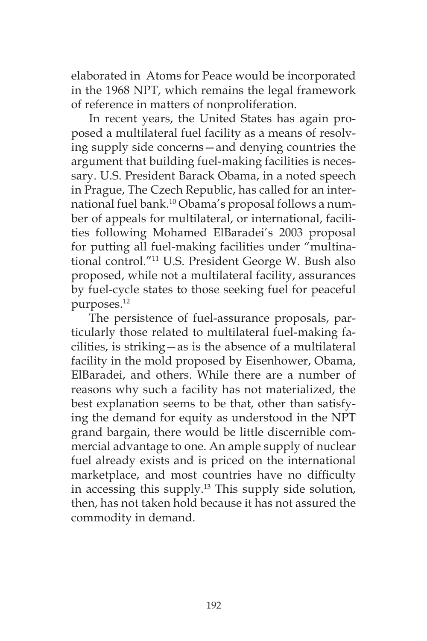elaborated in Atoms for Peace would be incorporated in the 1968 NPT, which remains the legal framework of reference in matters of nonproliferation.

In recent years, the United States has again proposed a multilateral fuel facility as a means of resolving supply side concerns—and denying countries the argument that building fuel-making facilities is necessary. U.S. President Barack Obama, in a noted speech in Prague, The Czech Republic, has called for an international fuel bank.10 Obama's proposal follows a number of appeals for multilateral, or international, facilities following Mohamed ElBaradei's 2003 proposal for putting all fuel-making facilities under "multinational control."11 U.S. President George W. Bush also proposed, while not a multilateral facility, assurances by fuel-cycle states to those seeking fuel for peaceful purposes.12

The persistence of fuel-assurance proposals, particularly those related to multilateral fuel-making facilities, is striking—as is the absence of a multilateral facility in the mold proposed by Eisenhower, Obama, ElBaradei, and others. While there are a number of reasons why such a facility has not materialized, the best explanation seems to be that, other than satisfying the demand for equity as understood in the NPT grand bargain, there would be little discernible commercial advantage to one. An ample supply of nuclear fuel already exists and is priced on the international marketplace, and most countries have no difficulty in accessing this supply.13 This supply side solution, then, has not taken hold because it has not assured the commodity in demand.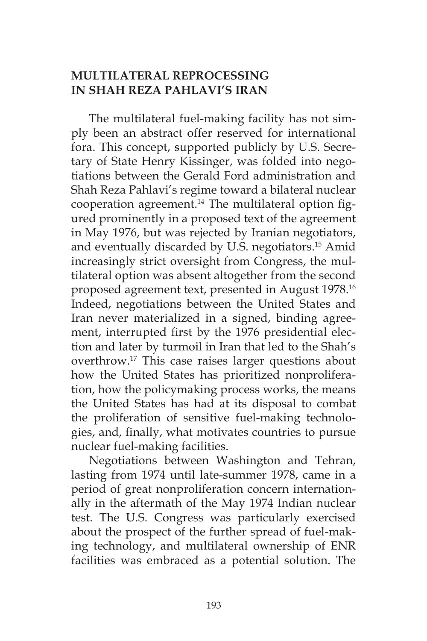# **MULTILATERAL REPROCESSING IN SHAH REZA PAHLAVI'S IRAN**

The multilateral fuel-making facility has not simply been an abstract offer reserved for international fora. This concept, supported publicly by U.S. Secretary of State Henry Kissinger, was folded into negotiations between the Gerald Ford administration and Shah Reza Pahlavi's regime toward a bilateral nuclear cooperation agreement. $14$  The multilateral option figured prominently in a proposed text of the agreement in May 1976, but was rejected by Iranian negotiators, and eventually discarded by U.S. negotiators.<sup>15</sup> Amid increasingly strict oversight from Congress, the multilateral option was absent altogether from the second proposed agreement text, presented in August 1978.16 Indeed, negotiations between the United States and Iran never materialized in a signed, binding agreement, interrupted first by the 1976 presidential election and later by turmoil in Iran that led to the Shah's overthrow.17 This case raises larger questions about how the United States has prioritized nonproliferation, how the policymaking process works, the means the United States has had at its disposal to combat the proliferation of sensitive fuel-making technologies, and, finally, what motivates countries to pursue nuclear fuel-making facilities.

Negotiations between Washington and Tehran, lasting from 1974 until late-summer 1978, came in a period of great nonproliferation concern internationally in the aftermath of the May 1974 Indian nuclear test. The U.S. Congress was particularly exercised about the prospect of the further spread of fuel-making technology, and multilateral ownership of ENR facilities was embraced as a potential solution. The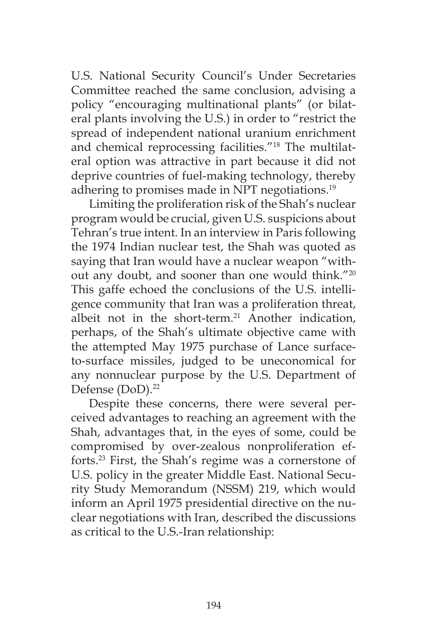U.S. National Security Council's Under Secretaries Committee reached the same conclusion, advising a policy "encouraging multinational plants" (or bilateral plants involving the U.S.) in order to "restrict the spread of independent national uranium enrichment and chemical reprocessing facilities."18 The multilateral option was attractive in part because it did not deprive countries of fuel-making technology, thereby adhering to promises made in NPT negotiations.<sup>19</sup>

Limiting the proliferation risk of the Shah's nuclear program would be crucial, given U.S. suspicions about Tehran's true intent. In an interview in Paris following the 1974 Indian nuclear test, the Shah was quoted as saying that Iran would have a nuclear weapon "without any doubt, and sooner than one would think."20 This gaffe echoed the conclusions of the U.S. intelligence community that Iran was a proliferation threat, albeit not in the short-term. $21$  Another indication, perhaps, of the Shah's ultimate objective came with the attempted May 1975 purchase of Lance surfaceto-surface missiles, judged to be uneconomical for any nonnuclear purpose by the U.S. Department of Defense (DoD).<sup>22</sup>

Despite these concerns, there were several perceived advantages to reaching an agreement with the Shah, advantages that, in the eyes of some, could be compromised by over-zealous nonproliferation efforts.23 First, the Shah's regime was a cornerstone of U.S. policy in the greater Middle East. National Security Study Memorandum (NSSM) 219, which would inform an April 1975 presidential directive on the nuclear negotiations with Iran, described the discussions as critical to the U.S.-Iran relationship: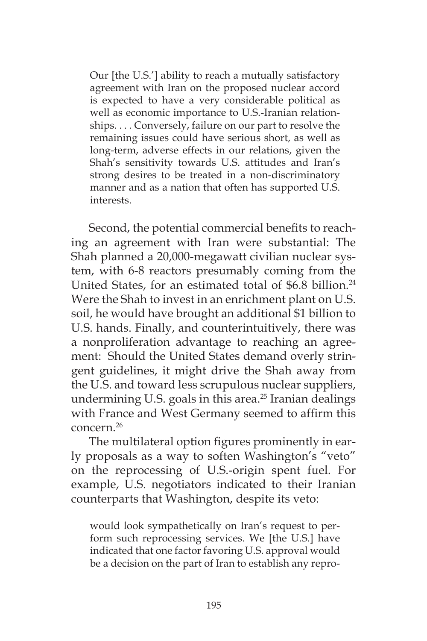Our [the U.S.'] ability to reach a mutually satisfactory agreement with Iran on the proposed nuclear accord is expected to have a very considerable political as well as economic importance to U.S.-Iranian relationships. . . . Conversely, failure on our part to resolve the remaining issues could have serious short, as well as long-term, adverse effects in our relations, given the Shah's sensitivity towards U.S. attitudes and Iran's strong desires to be treated in a non-discriminatory manner and as a nation that often has supported U.S. interests.

Second, the potential commercial benefits to reaching an agreement with Iran were substantial: The Shah planned a 20,000-megawatt civilian nuclear system, with 6-8 reactors presumably coming from the United States, for an estimated total of \$6.8 billion.<sup>24</sup> Were the Shah to invest in an enrichment plant on U.S. soil, he would have brought an additional \$1 billion to U.S. hands. Finally, and counterintuitively, there was a nonproliferation advantage to reaching an agreement: Should the United States demand overly stringent guidelines, it might drive the Shah away from the U.S. and toward less scrupulous nuclear suppliers, undermining U.S. goals in this area. $25$  Iranian dealings with France and West Germany seemed to affirm this concern<sup>26</sup>

The multilateral option figures prominently in early proposals as a way to soften Washington's "veto" on the reprocessing of U.S.-origin spent fuel. For example, U.S. negotiators indicated to their Iranian counterparts that Washington, despite its veto:

would look sympathetically on Iran's request to perform such reprocessing services. We [the U.S.] have indicated that one factor favoring U.S. approval would be a decision on the part of Iran to establish any repro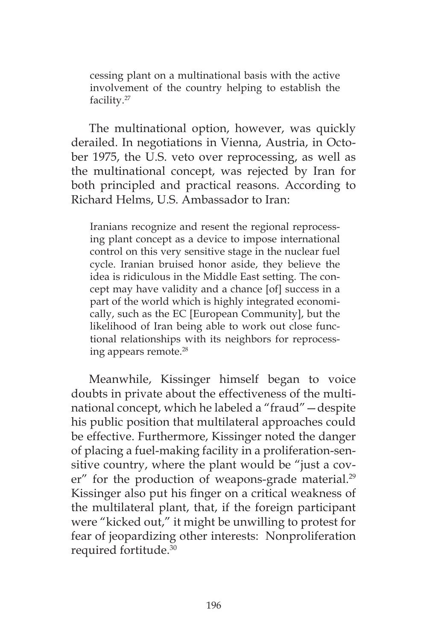cessing plant on a multinational basis with the active involvement of the country helping to establish the facility.27

The multinational option, however, was quickly derailed. In negotiations in Vienna, Austria, in October 1975, the U.S. veto over reprocessing, as well as the multinational concept, was rejected by Iran for both principled and practical reasons. According to Richard Helms, U.S. Ambassador to Iran:

Iranians recognize and resent the regional reprocessing plant concept as a device to impose international control on this very sensitive stage in the nuclear fuel cycle. Iranian bruised honor aside, they believe the idea is ridiculous in the Middle East setting. The concept may have validity and a chance [of] success in a part of the world which is highly integrated economically, such as the EC [European Community], but the likelihood of Iran being able to work out close functional relationships with its neighbors for reprocessing appears remote.28

Meanwhile, Kissinger himself began to voice doubts in private about the effectiveness of the multinational concept, which he labeled a "fraud"—despite his public position that multilateral approaches could be effective. Furthermore, Kissinger noted the danger of placing a fuel-making facility in a proliferation-sensitive country, where the plant would be "just a cover" for the production of weapons-grade material.<sup>29</sup> Kissinger also put his finger on a critical weakness of the multilateral plant, that, if the foreign participant were "kicked out," it might be unwilling to protest for fear of jeopardizing other interests: Nonproliferation required fortitude.30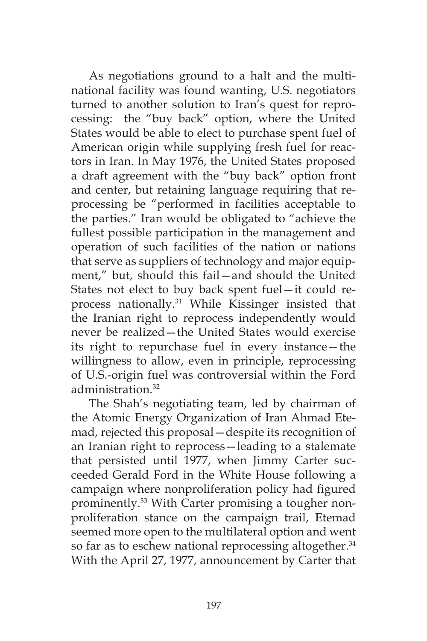As negotiations ground to a halt and the multinational facility was found wanting, U.S. negotiators turned to another solution to Iran's quest for reprocessing: the "buy back" option, where the United States would be able to elect to purchase spent fuel of American origin while supplying fresh fuel for reactors in Iran. In May 1976, the United States proposed a draft agreement with the "buy back" option front and center, but retaining language requiring that reprocessing be "performed in facilities acceptable to the parties." Iran would be obligated to "achieve the fullest possible participation in the management and operation of such facilities of the nation or nations that serve as suppliers of technology and major equipment," but, should this fail—and should the United States not elect to buy back spent fuel—it could reprocess nationally.31 While Kissinger insisted that the Iranian right to reprocess independently would never be realized—the United States would exercise its right to repurchase fuel in every instance—the willingness to allow, even in principle, reprocessing of U.S.-origin fuel was controversial within the Ford administration.<sup>32</sup>

The Shah's negotiating team, led by chairman of the Atomic Energy Organization of Iran Ahmad Etemad, rejected this proposal—despite its recognition of an Iranian right to reprocess—leading to a stalemate that persisted until 1977, when Jimmy Carter succeeded Gerald Ford in the White House following a campaign where nonproliferation policy had figured prominently.<sup>33</sup> With Carter promising a tougher nonproliferation stance on the campaign trail, Etemad seemed more open to the multilateral option and went so far as to eschew national reprocessing altogether.<sup>34</sup> With the April 27, 1977, announcement by Carter that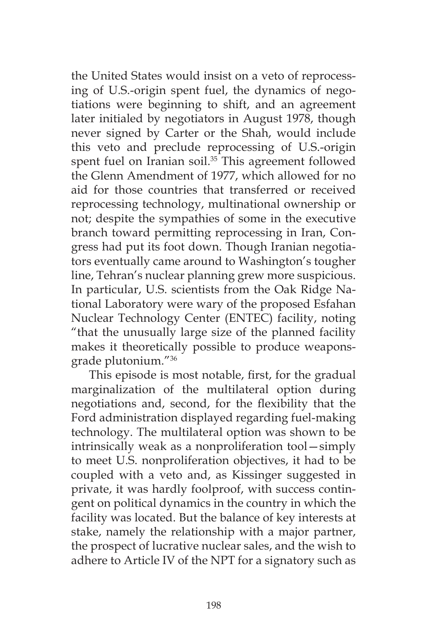the United States would insist on a veto of reprocessing of U.S.-origin spent fuel, the dynamics of negotiations were beginning to shift, and an agreement later initialed by negotiators in August 1978, though never signed by Carter or the Shah, would include this veto and preclude reprocessing of U.S.-origin spent fuel on Iranian soil.<sup>35</sup> This agreement followed the Glenn Amendment of 1977, which allowed for no aid for those countries that transferred or received reprocessing technology, multinational ownership or not; despite the sympathies of some in the executive branch toward permitting reprocessing in Iran, Congress had put its foot down. Though Iranian negotiators eventually came around to Washington's tougher line, Tehran's nuclear planning grew more suspicious. In particular, U.S. scientists from the Oak Ridge National Laboratory were wary of the proposed Esfahan Nuclear Technology Center (ENTEC) facility, noting "that the unusually large size of the planned facility makes it theoretically possible to produce weaponsgrade plutonium."36

This episode is most notable, first, for the gradual marginalization of the multilateral option during negotiations and, second, for the flexibility that the Ford administration displayed regarding fuel-making technology. The multilateral option was shown to be intrinsically weak as a nonproliferation tool—simply to meet U.S. nonproliferation objectives, it had to be coupled with a veto and, as Kissinger suggested in private, it was hardly foolproof, with success contingent on political dynamics in the country in which the facility was located. But the balance of key interests at stake, namely the relationship with a major partner, the prospect of lucrative nuclear sales, and the wish to adhere to Article IV of the NPT for a signatory such as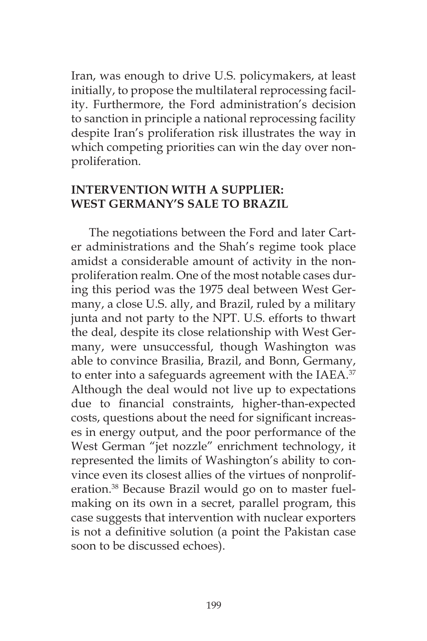Iran, was enough to drive U.S. policymakers, at least initially, to propose the multilateral reprocessing facility. Furthermore, the Ford administration's decision to sanction in principle a national reprocessing facility despite Iran's proliferation risk illustrates the way in which competing priorities can win the day over nonproliferation.

## **INTERVENTION WITH A SUPPLIER: WEST GERMANY'S SALE TO BRAZIL**

The negotiations between the Ford and later Carter administrations and the Shah's regime took place amidst a considerable amount of activity in the nonproliferation realm. One of the most notable cases during this period was the 1975 deal between West Germany, a close U.S. ally, and Brazil, ruled by a military junta and not party to the NPT. U.S. efforts to thwart the deal, despite its close relationship with West Germany, were unsuccessful, though Washington was able to convince Brasilia, Brazil, and Bonn, Germany, to enter into a safeguards agreement with the IAEA.<sup>37</sup> Although the deal would not live up to expectations due to financial constraints, higher-than-expected costs, questions about the need for significant increases in energy output, and the poor performance of the West German "jet nozzle" enrichment technology, it represented the limits of Washington's ability to convince even its closest allies of the virtues of nonproliferation.38 Because Brazil would go on to master fuelmaking on its own in a secret, parallel program, this case suggests that intervention with nuclear exporters is not a definitive solution (a point the Pakistan case soon to be discussed echoes).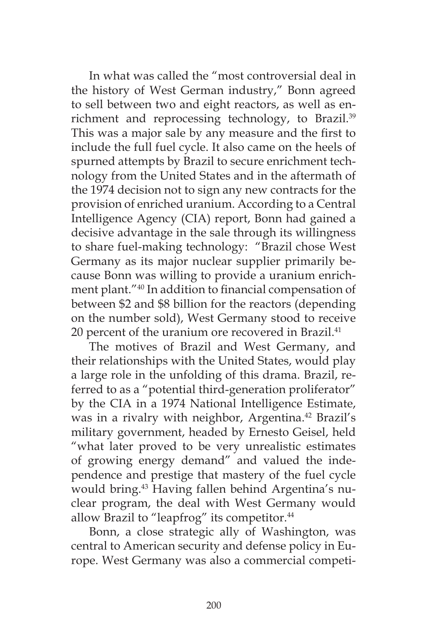In what was called the "most controversial deal in the history of West German industry," Bonn agreed to sell between two and eight reactors, as well as enrichment and reprocessing technology, to Brazil.<sup>39</sup> This was a major sale by any measure and the first to include the full fuel cycle. It also came on the heels of spurned attempts by Brazil to secure enrichment technology from the United States and in the aftermath of the 1974 decision not to sign any new contracts for the provision of enriched uranium. According to a Central Intelligence Agency (CIA) report, Bonn had gained a decisive advantage in the sale through its willingness to share fuel-making technology: "Brazil chose West Germany as its major nuclear supplier primarily because Bonn was willing to provide a uranium enrichment plant."40 In addition to financial compensation of between \$2 and \$8 billion for the reactors (depending on the number sold), West Germany stood to receive 20 percent of the uranium ore recovered in Brazil.<sup>41</sup>

The motives of Brazil and West Germany, and their relationships with the United States, would play a large role in the unfolding of this drama. Brazil, referred to as a "potential third-generation proliferator" by the CIA in a 1974 National Intelligence Estimate, was in a rivalry with neighbor, Argentina.<sup>42</sup> Brazil's military government, headed by Ernesto Geisel, held "what later proved to be very unrealistic estimates of growing energy demand" and valued the independence and prestige that mastery of the fuel cycle would bring.<sup>43</sup> Having fallen behind Argentina's nuclear program, the deal with West Germany would allow Brazil to "leapfrog" its competitor.<sup>44</sup>

Bonn, a close strategic ally of Washington, was central to American security and defense policy in Europe. West Germany was also a commercial competi-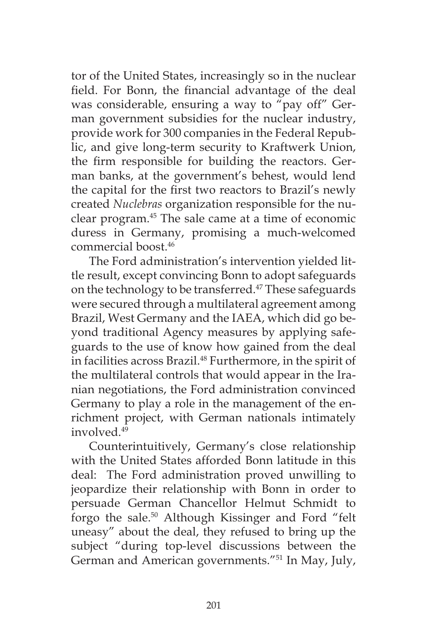tor of the United States, increasingly so in the nuclear field. For Bonn, the financial advantage of the deal was considerable, ensuring a way to "pay off" German government subsidies for the nuclear industry, provide work for 300 companies in the Federal Republic, and give long-term security to Kraftwerk Union, the firm responsible for building the reactors. German banks, at the government's behest, would lend the capital for the first two reactors to Brazil's newly created *Nuclebras* organization responsible for the nuclear program.45 The sale came at a time of economic duress in Germany, promising a much-welcomed commercial boost.46

The Ford administration's intervention yielded little result, except convincing Bonn to adopt safeguards on the technology to be transferred.<sup>47</sup> These safeguards were secured through a multilateral agreement among Brazil, West Germany and the IAEA, which did go beyond traditional Agency measures by applying safeguards to the use of know how gained from the deal in facilities across Brazil.<sup>48</sup> Furthermore, in the spirit of the multilateral controls that would appear in the Iranian negotiations, the Ford administration convinced Germany to play a role in the management of the enrichment project, with German nationals intimately involved.49

Counterintuitively, Germany's close relationship with the United States afforded Bonn latitude in this deal: The Ford administration proved unwilling to jeopardize their relationship with Bonn in order to persuade German Chancellor Helmut Schmidt to forgo the sale.<sup>50</sup> Although Kissinger and Ford "felt uneasy" about the deal, they refused to bring up the subject "during top-level discussions between the German and American governments."51 In May, July,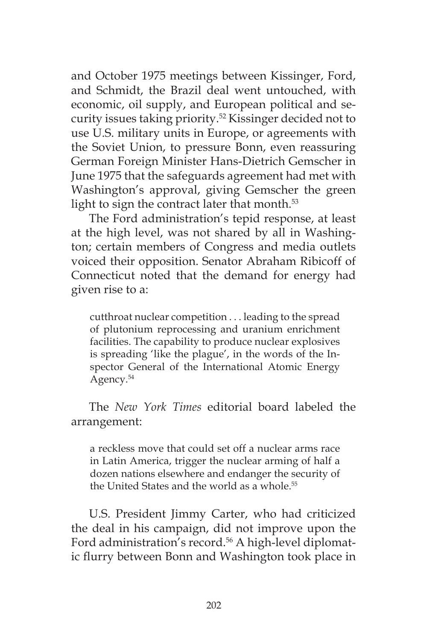and October 1975 meetings between Kissinger, Ford, and Schmidt, the Brazil deal went untouched, with economic, oil supply, and European political and security issues taking priority.52 Kissinger decided not to use U.S. military units in Europe, or agreements with the Soviet Union, to pressure Bonn, even reassuring German Foreign Minister Hans-Dietrich Gemscher in June 1975 that the safeguards agreement had met with Washington's approval, giving Gemscher the green light to sign the contract later that month. $53$ 

The Ford administration's tepid response, at least at the high level, was not shared by all in Washington; certain members of Congress and media outlets voiced their opposition. Senator Abraham Ribicoff of Connecticut noted that the demand for energy had given rise to a:

cutthroat nuclear competition . . . leading to the spread of plutonium reprocessing and uranium enrichment facilities. The capability to produce nuclear explosives is spreading 'like the plague', in the words of the Inspector General of the International Atomic Energy Agency.<sup>54</sup>

The *New York Times* editorial board labeled the arrangement:

a reckless move that could set off a nuclear arms race in Latin America, trigger the nuclear arming of half a dozen nations elsewhere and endanger the security of the United States and the world as a whole.<sup>55</sup>

U.S. President Jimmy Carter, who had criticized the deal in his campaign, did not improve upon the Ford administration's record.<sup>56</sup> A high-level diplomatic flurry between Bonn and Washington took place in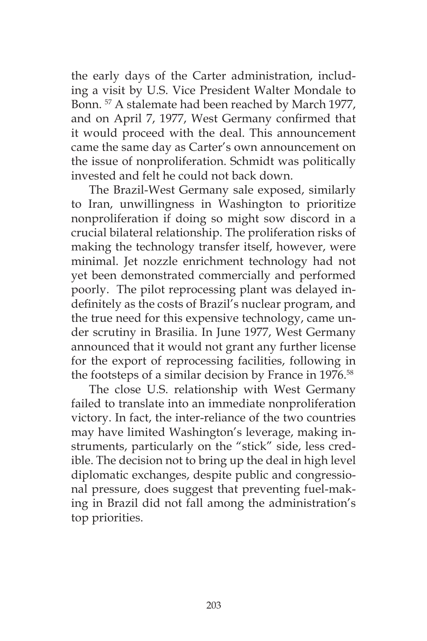the early days of the Carter administration, including a visit by U.S. Vice President Walter Mondale to Bonn. 57 A stalemate had been reached by March 1977, and on April 7, 1977, West Germany confirmed that it would proceed with the deal. This announcement came the same day as Carter's own announcement on the issue of nonproliferation. Schmidt was politically invested and felt he could not back down.

The Brazil-West Germany sale exposed, similarly to Iran, unwillingness in Washington to prioritize nonproliferation if doing so might sow discord in a crucial bilateral relationship. The proliferation risks of making the technology transfer itself, however, were minimal. Jet nozzle enrichment technology had not yet been demonstrated commercially and performed poorly. The pilot reprocessing plant was delayed indefinitely as the costs of Brazil's nuclear program, and the true need for this expensive technology, came under scrutiny in Brasilia. In June 1977, West Germany announced that it would not grant any further license for the export of reprocessing facilities, following in the footsteps of a similar decision by France in 1976.<sup>58</sup>

The close U.S. relationship with West Germany failed to translate into an immediate nonproliferation victory. In fact, the inter-reliance of the two countries may have limited Washington's leverage, making instruments, particularly on the "stick" side, less credible. The decision not to bring up the deal in high level diplomatic exchanges, despite public and congressional pressure, does suggest that preventing fuel-making in Brazil did not fall among the administration's top priorities.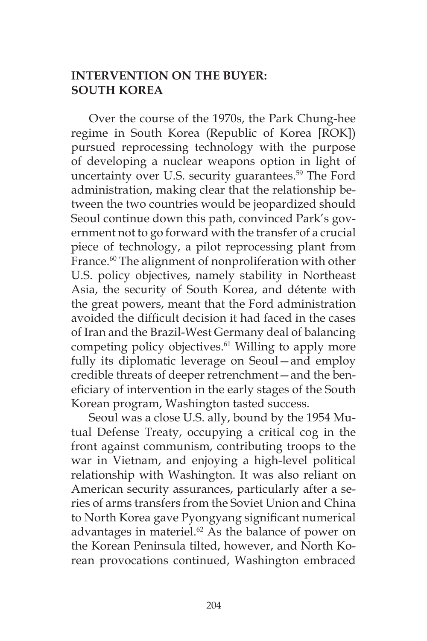## **INTERVENTION ON THE BUYER: SOUTH KOREA**

Over the course of the 1970s, the Park Chung-hee regime in South Korea (Republic of Korea [ROK]) pursued reprocessing technology with the purpose of developing a nuclear weapons option in light of uncertainty over U.S. security guarantees.<sup>59</sup> The Ford administration, making clear that the relationship between the two countries would be jeopardized should Seoul continue down this path, convinced Park's government not to go forward with the transfer of a crucial piece of technology, a pilot reprocessing plant from France.<sup>60</sup> The alignment of nonproliferation with other U.S. policy objectives, namely stability in Northeast Asia, the security of South Korea, and détente with the great powers, meant that the Ford administration avoided the difficult decision it had faced in the cases of Iran and the Brazil-West Germany deal of balancing competing policy objectives.<sup>61</sup> Willing to apply more fully its diplomatic leverage on Seoul—and employ credible threats of deeper retrenchment—and the beneficiary of intervention in the early stages of the South Korean program, Washington tasted success.

Seoul was a close U.S. ally, bound by the 1954 Mutual Defense Treaty, occupying a critical cog in the front against communism, contributing troops to the war in Vietnam, and enjoying a high-level political relationship with Washington. It was also reliant on American security assurances, particularly after a series of arms transfers from the Soviet Union and China to North Korea gave Pyongyang significant numerical advantages in materiel.<sup>62</sup> As the balance of power on the Korean Peninsula tilted, however, and North Korean provocations continued, Washington embraced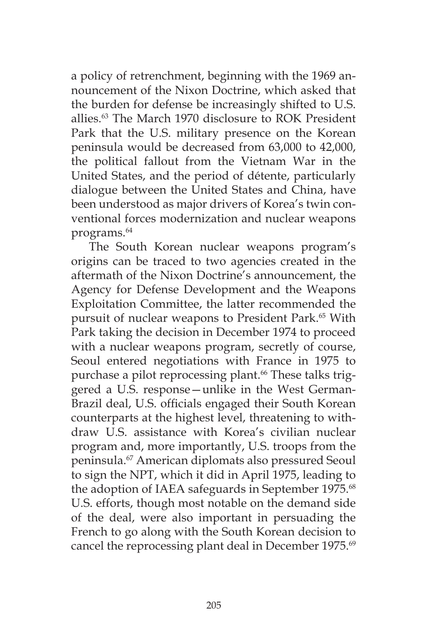a policy of retrenchment, beginning with the 1969 announcement of the Nixon Doctrine, which asked that the burden for defense be increasingly shifted to U.S. allies.63 The March 1970 disclosure to ROK President Park that the U.S. military presence on the Korean peninsula would be decreased from 63,000 to 42,000, the political fallout from the Vietnam War in the United States, and the period of détente, particularly dialogue between the United States and China, have been understood as major drivers of Korea's twin conventional forces modernization and nuclear weapons programs.64

The South Korean nuclear weapons program's origins can be traced to two agencies created in the aftermath of the Nixon Doctrine's announcement, the Agency for Defense Development and the Weapons Exploitation Committee, the latter recommended the pursuit of nuclear weapons to President Park.<sup>65</sup> With Park taking the decision in December 1974 to proceed with a nuclear weapons program, secretly of course, Seoul entered negotiations with France in 1975 to purchase a pilot reprocessing plant.<sup>66</sup> These talks triggered a U.S. response—unlike in the West German-Brazil deal, U.S. officials engaged their South Korean counterparts at the highest level, threatening to withdraw U.S. assistance with Korea's civilian nuclear program and, more importantly, U.S. troops from the peninsula.67 American diplomats also pressured Seoul to sign the NPT, which it did in April 1975, leading to the adoption of IAEA safeguards in September 1975.<sup>68</sup> U.S. efforts, though most notable on the demand side of the deal, were also important in persuading the French to go along with the South Korean decision to cancel the reprocessing plant deal in December 1975.<sup>69</sup>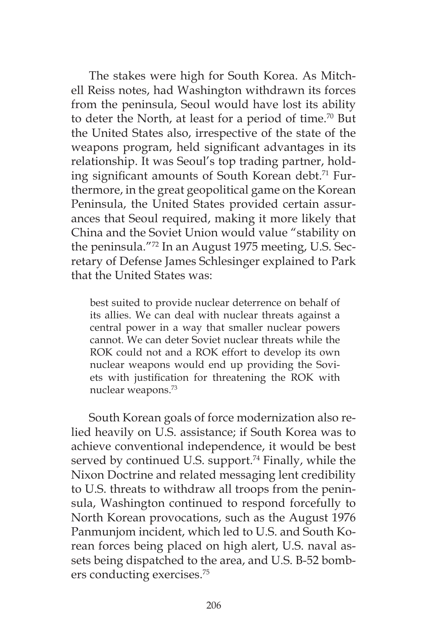The stakes were high for South Korea. As Mitchell Reiss notes, had Washington withdrawn its forces from the peninsula, Seoul would have lost its ability to deter the North, at least for a period of time.<sup>70</sup> But the United States also, irrespective of the state of the weapons program, held significant advantages in its relationship. It was Seoul's top trading partner, holding significant amounts of South Korean debt.<sup>71</sup> Furthermore, in the great geopolitical game on the Korean Peninsula, the United States provided certain assurances that Seoul required, making it more likely that China and the Soviet Union would value "stability on the peninsula."72 In an August 1975 meeting, U.S. Secretary of Defense James Schlesinger explained to Park that the United States was:

best suited to provide nuclear deterrence on behalf of its allies. We can deal with nuclear threats against a central power in a way that smaller nuclear powers cannot. We can deter Soviet nuclear threats while the ROK could not and a ROK effort to develop its own nuclear weapons would end up providing the Soviets with justification for threatening the ROK with nuclear weapons.73

South Korean goals of force modernization also relied heavily on U.S. assistance; if South Korea was to achieve conventional independence, it would be best served by continued U.S. support.<sup>74</sup> Finally, while the Nixon Doctrine and related messaging lent credibility to U.S. threats to withdraw all troops from the peninsula, Washington continued to respond forcefully to North Korean provocations, such as the August 1976 Panmunjom incident, which led to U.S. and South Korean forces being placed on high alert, U.S. naval assets being dispatched to the area, and U.S. B-52 bombers conducting exercises.75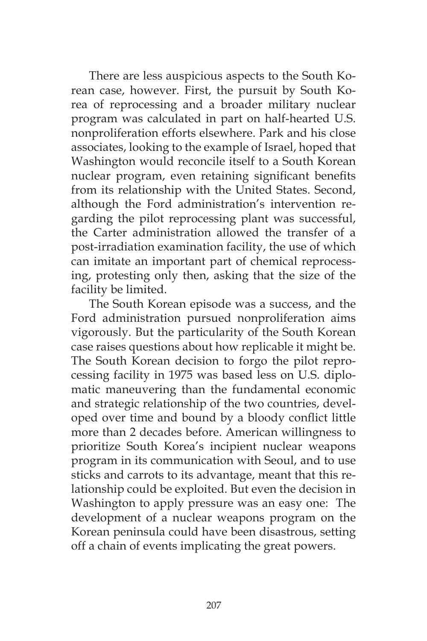There are less auspicious aspects to the South Korean case, however. First, the pursuit by South Korea of reprocessing and a broader military nuclear program was calculated in part on half-hearted U.S. nonproliferation efforts elsewhere. Park and his close associates, looking to the example of Israel, hoped that Washington would reconcile itself to a South Korean nuclear program, even retaining significant benefits from its relationship with the United States. Second, although the Ford administration's intervention regarding the pilot reprocessing plant was successful, the Carter administration allowed the transfer of a post-irradiation examination facility, the use of which can imitate an important part of chemical reprocessing, protesting only then, asking that the size of the facility be limited.

The South Korean episode was a success, and the Ford administration pursued nonproliferation aims vigorously. But the particularity of the South Korean case raises questions about how replicable it might be. The South Korean decision to forgo the pilot reprocessing facility in 1975 was based less on U.S. diplomatic maneuvering than the fundamental economic and strategic relationship of the two countries, developed over time and bound by a bloody conflict little more than 2 decades before. American willingness to prioritize South Korea's incipient nuclear weapons program in its communication with Seoul, and to use sticks and carrots to its advantage, meant that this relationship could be exploited. But even the decision in Washington to apply pressure was an easy one: The development of a nuclear weapons program on the Korean peninsula could have been disastrous, setting off a chain of events implicating the great powers.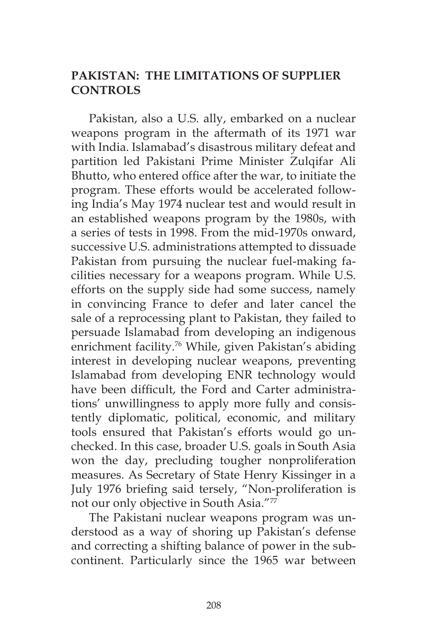# **PAKISTAN: THE LIMITATIONS OF SUPPLIER CONTROLS**

Pakistan, also a U.S. ally, embarked on a nuclear weapons program in the aftermath of its 1971 war with India. Islamabad's disastrous military defeat and partition led Pakistani Prime Minister Zulqifar Ali Bhutto, who entered office after the war, to initiate the program. These efforts would be accelerated following India's May 1974 nuclear test and would result in an established weapons program by the 1980s, with a series of tests in 1998. From the mid-1970s onward, successive U.S. administrations attempted to dissuade Pakistan from pursuing the nuclear fuel-making facilities necessary for a weapons program. While U.S. efforts on the supply side had some success, namely in convincing France to defer and later cancel the sale of a reprocessing plant to Pakistan, they failed to persuade Islamabad from developing an indigenous enrichment facility.<sup>76</sup> While, given Pakistan's abiding interest in developing nuclear weapons, preventing Islamabad from developing ENR technology would have been difficult, the Ford and Carter administrations' unwillingness to apply more fully and consistently diplomatic, political, economic, and military tools ensured that Pakistan's efforts would go unchecked. In this case, broader U.S. goals in South Asia won the day, precluding tougher nonproliferation measures. As Secretary of State Henry Kissinger in a July 1976 briefing said tersely, "Non-proliferation is not our only objective in South Asia."77

The Pakistani nuclear weapons program was understood as a way of shoring up Pakistan's defense and correcting a shifting balance of power in the subcontinent. Particularly since the 1965 war between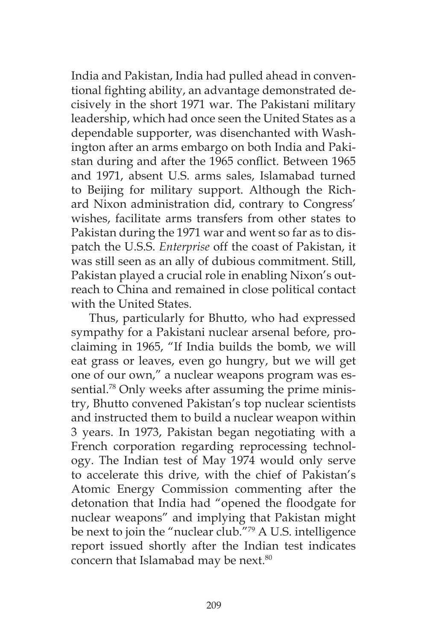India and Pakistan, India had pulled ahead in conventional fighting ability, an advantage demonstrated decisively in the short 1971 war. The Pakistani military leadership, which had once seen the United States as a dependable supporter, was disenchanted with Washington after an arms embargo on both India and Pakistan during and after the 1965 conflict. Between 1965 and 1971, absent U.S. arms sales, Islamabad turned to Beijing for military support. Although the Richard Nixon administration did, contrary to Congress' wishes, facilitate arms transfers from other states to Pakistan during the 1971 war and went so far as to dispatch the U.S.S. *Enterprise* off the coast of Pakistan, it was still seen as an ally of dubious commitment. Still, Pakistan played a crucial role in enabling Nixon's outreach to China and remained in close political contact with the United States.

Thus, particularly for Bhutto, who had expressed sympathy for a Pakistani nuclear arsenal before, proclaiming in 1965, "If India builds the bomb, we will eat grass or leaves, even go hungry, but we will get one of our own," a nuclear weapons program was essential.<sup>78</sup> Only weeks after assuming the prime ministry, Bhutto convened Pakistan's top nuclear scientists and instructed them to build a nuclear weapon within 3 years. In 1973, Pakistan began negotiating with a French corporation regarding reprocessing technology. The Indian test of May 1974 would only serve to accelerate this drive, with the chief of Pakistan's Atomic Energy Commission commenting after the detonation that India had "opened the floodgate for nuclear weapons" and implying that Pakistan might be next to join the "nuclear club."79 A U.S. intelligence report issued shortly after the Indian test indicates concern that Islamabad may be next.<sup>80</sup>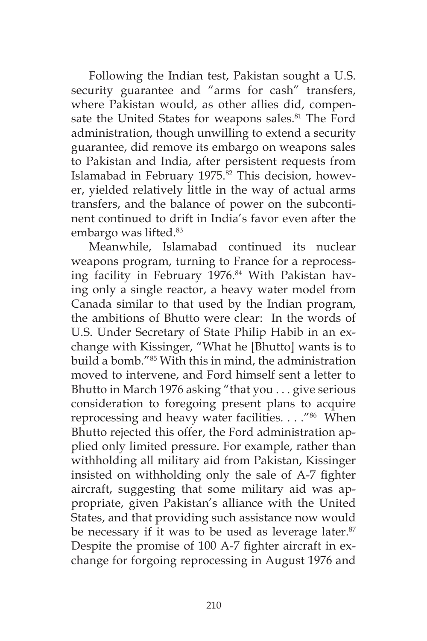Following the Indian test, Pakistan sought a U.S. security guarantee and "arms for cash" transfers, where Pakistan would, as other allies did, compensate the United States for weapons sales.<sup>81</sup> The Ford administration, though unwilling to extend a security guarantee, did remove its embargo on weapons sales to Pakistan and India, after persistent requests from Islamabad in February  $1975$ .<sup>82</sup> This decision, however, yielded relatively little in the way of actual arms transfers, and the balance of power on the subcontinent continued to drift in India's favor even after the embargo was lifted.<sup>83</sup>

Meanwhile, Islamabad continued its nuclear weapons program, turning to France for a reprocessing facility in February 1976.<sup>84</sup> With Pakistan having only a single reactor, a heavy water model from Canada similar to that used by the Indian program, the ambitions of Bhutto were clear: In the words of U.S. Under Secretary of State Philip Habib in an exchange with Kissinger, "What he [Bhutto] wants is to build a bomb."85 With this in mind, the administration moved to intervene, and Ford himself sent a letter to Bhutto in March 1976 asking "that you . . . give serious consideration to foregoing present plans to acquire reprocessing and heavy water facilities. . . . "<sup>86</sup> When Bhutto rejected this offer, the Ford administration applied only limited pressure. For example, rather than withholding all military aid from Pakistan, Kissinger insisted on withholding only the sale of A-7 fighter aircraft, suggesting that some military aid was appropriate, given Pakistan's alliance with the United States, and that providing such assistance now would be necessary if it was to be used as leverage later.<sup>87</sup> Despite the promise of 100 A-7 fighter aircraft in exchange for forgoing reprocessing in August 1976 and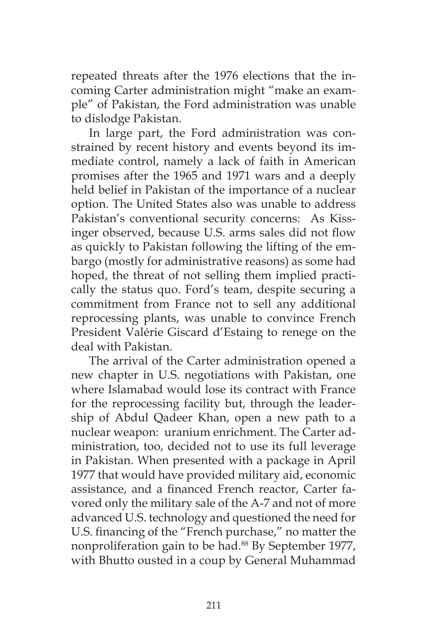repeated threats after the 1976 elections that the incoming Carter administration might "make an example" of Pakistan, the Ford administration was unable to dislodge Pakistan.

In large part, the Ford administration was constrained by recent history and events beyond its immediate control, namely a lack of faith in American promises after the 1965 and 1971 wars and a deeply held belief in Pakistan of the importance of a nuclear option. The United States also was unable to address Pakistan's conventional security concerns: As Kissinger observed, because U.S. arms sales did not flow as quickly to Pakistan following the lifting of the embargo (mostly for administrative reasons) as some had hoped, the threat of not selling them implied practically the status quo. Ford's team, despite securing a commitment from France not to sell any additional reprocessing plants, was unable to convince French President Valérie Giscard d'Estaing to renege on the deal with Pakistan.

The arrival of the Carter administration opened a new chapter in U.S. negotiations with Pakistan, one where Islamabad would lose its contract with France for the reprocessing facility but, through the leadership of Abdul Qadeer Khan, open a new path to a nuclear weapon: uranium enrichment. The Carter administration, too, decided not to use its full leverage in Pakistan. When presented with a package in April 1977 that would have provided military aid, economic assistance, and a financed French reactor, Carter favored only the military sale of the A-7 and not of more advanced U.S. technology and questioned the need for U.S. financing of the "French purchase," no matter the nonproliferation gain to be had.<sup>88</sup> By September 1977, with Bhutto ousted in a coup by General Muhammad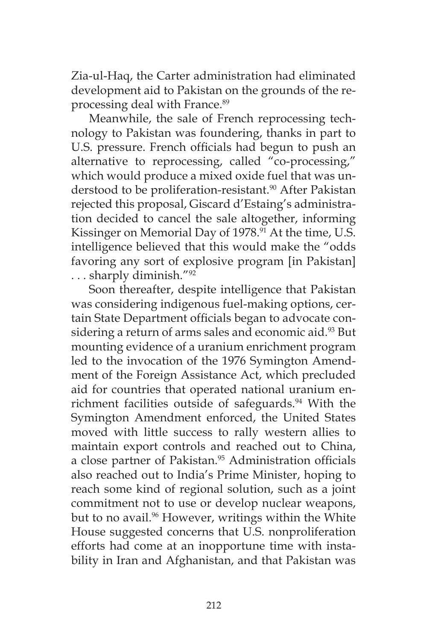Zia-ul-Haq, the Carter administration had eliminated development aid to Pakistan on the grounds of the reprocessing deal with France.<sup>89</sup>

Meanwhile, the sale of French reprocessing technology to Pakistan was foundering, thanks in part to U.S. pressure. French officials had begun to push an alternative to reprocessing, called "co-processing," which would produce a mixed oxide fuel that was understood to be proliferation-resistant.<sup>90</sup> After Pakistan rejected this proposal, Giscard d'Estaing's administration decided to cancel the sale altogether, informing Kissinger on Memorial Day of 1978.<sup>91</sup> At the time, U.S. intelligence believed that this would make the "odds favoring any sort of explosive program [in Pakistan] . . . sharply diminish."92

Soon thereafter, despite intelligence that Pakistan was considering indigenous fuel-making options, certain State Department officials began to advocate considering a return of arms sales and economic aid.<sup>93</sup> But mounting evidence of a uranium enrichment program led to the invocation of the 1976 Symington Amendment of the Foreign Assistance Act, which precluded aid for countries that operated national uranium enrichment facilities outside of safeguards.<sup>94</sup> With the Symington Amendment enforced, the United States moved with little success to rally western allies to maintain export controls and reached out to China, a close partner of Pakistan.<sup>95</sup> Administration officials also reached out to India's Prime Minister, hoping to reach some kind of regional solution, such as a joint commitment not to use or develop nuclear weapons, but to no avail.<sup>96</sup> However, writings within the White House suggested concerns that U.S. nonproliferation efforts had come at an inopportune time with instability in Iran and Afghanistan, and that Pakistan was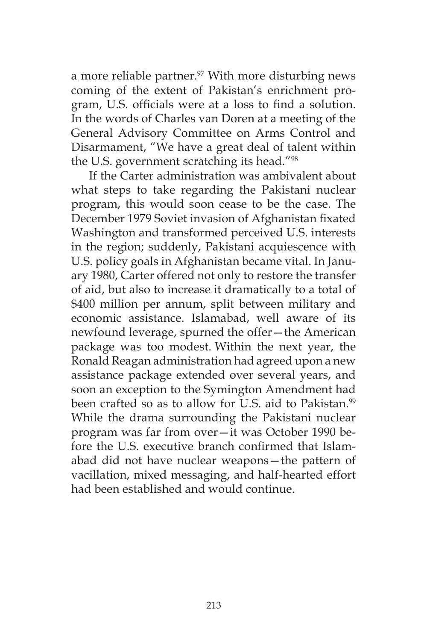a more reliable partner.<sup>97</sup> With more disturbing news coming of the extent of Pakistan's enrichment program, U.S. officials were at a loss to find a solution. In the words of Charles van Doren at a meeting of the General Advisory Committee on Arms Control and Disarmament, "We have a great deal of talent within the U.S. government scratching its head."98

If the Carter administration was ambivalent about what steps to take regarding the Pakistani nuclear program, this would soon cease to be the case. The December 1979 Soviet invasion of Afghanistan fixated Washington and transformed perceived U.S. interests in the region; suddenly, Pakistani acquiescence with U.S. policy goals in Afghanistan became vital. In January 1980, Carter offered not only to restore the transfer of aid, but also to increase it dramatically to a total of \$400 million per annum, split between military and economic assistance. Islamabad, well aware of its newfound leverage, spurned the offer—the American package was too modest. Within the next year, the Ronald Reagan administration had agreed upon a new assistance package extended over several years, and soon an exception to the Symington Amendment had been crafted so as to allow for U.S. aid to Pakistan.<sup>99</sup> While the drama surrounding the Pakistani nuclear program was far from over—it was October 1990 before the U.S. executive branch confirmed that Islamabad did not have nuclear weapons—the pattern of vacillation, mixed messaging, and half-hearted effort had been established and would continue.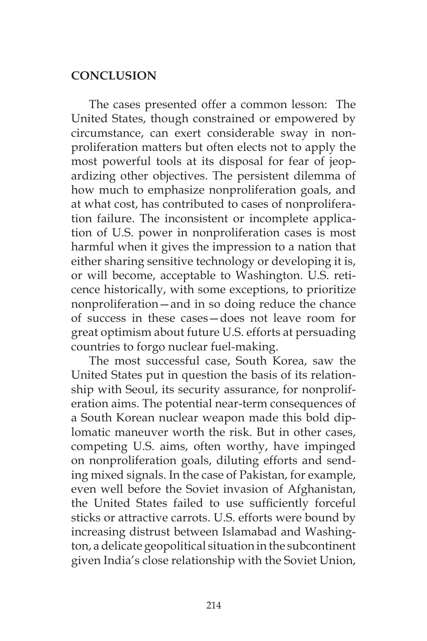## **CONCLUSION**

The cases presented offer a common lesson: The United States, though constrained or empowered by circumstance, can exert considerable sway in nonproliferation matters but often elects not to apply the most powerful tools at its disposal for fear of jeopardizing other objectives. The persistent dilemma of how much to emphasize nonproliferation goals, and at what cost, has contributed to cases of nonproliferation failure. The inconsistent or incomplete application of U.S. power in nonproliferation cases is most harmful when it gives the impression to a nation that either sharing sensitive technology or developing it is, or will become, acceptable to Washington. U.S. reticence historically, with some exceptions, to prioritize nonproliferation—and in so doing reduce the chance of success in these cases—does not leave room for great optimism about future U.S. efforts at persuading countries to forgo nuclear fuel-making.

The most successful case, South Korea, saw the United States put in question the basis of its relationship with Seoul, its security assurance, for nonproliferation aims. The potential near-term consequences of a South Korean nuclear weapon made this bold diplomatic maneuver worth the risk. But in other cases, competing U.S. aims, often worthy, have impinged on nonproliferation goals, diluting efforts and sending mixed signals. In the case of Pakistan, for example, even well before the Soviet invasion of Afghanistan, the United States failed to use sufficiently forceful sticks or attractive carrots. U.S. efforts were bound by increasing distrust between Islamabad and Washington, a delicate geopolitical situation in the subcontinent given India's close relationship with the Soviet Union,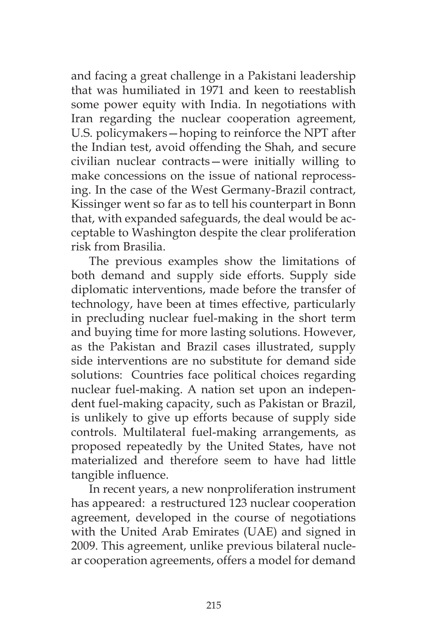and facing a great challenge in a Pakistani leadership that was humiliated in 1971 and keen to reestablish some power equity with India. In negotiations with Iran regarding the nuclear cooperation agreement, U.S. policymakers—hoping to reinforce the NPT after the Indian test, avoid offending the Shah, and secure civilian nuclear contracts—were initially willing to make concessions on the issue of national reprocessing. In the case of the West Germany-Brazil contract, Kissinger went so far as to tell his counterpart in Bonn that, with expanded safeguards, the deal would be acceptable to Washington despite the clear proliferation risk from Brasilia.

The previous examples show the limitations of both demand and supply side efforts. Supply side diplomatic interventions, made before the transfer of technology, have been at times effective, particularly in precluding nuclear fuel-making in the short term and buying time for more lasting solutions. However, as the Pakistan and Brazil cases illustrated, supply side interventions are no substitute for demand side solutions: Countries face political choices regarding nuclear fuel-making. A nation set upon an independent fuel-making capacity, such as Pakistan or Brazil, is unlikely to give up efforts because of supply side controls. Multilateral fuel-making arrangements, as proposed repeatedly by the United States, have not materialized and therefore seem to have had little tangible influence.

In recent years, a new nonproliferation instrument has appeared: a restructured 123 nuclear cooperation agreement, developed in the course of negotiations with the United Arab Emirates (UAE) and signed in 2009. This agreement, unlike previous bilateral nuclear cooperation agreements, offers a model for demand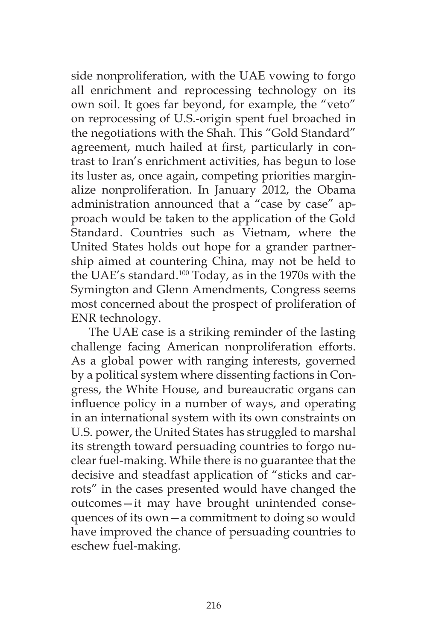side nonproliferation, with the UAE vowing to forgo all enrichment and reprocessing technology on its own soil. It goes far beyond, for example, the "veto" on reprocessing of U.S.-origin spent fuel broached in the negotiations with the Shah. This "Gold Standard" agreement, much hailed at first, particularly in contrast to Iran's enrichment activities, has begun to lose its luster as, once again, competing priorities marginalize nonproliferation. In January 2012, the Obama administration announced that a "case by case" approach would be taken to the application of the Gold Standard. Countries such as Vietnam, where the United States holds out hope for a grander partnership aimed at countering China, may not be held to the UAE's standard.100 Today, as in the 1970s with the Symington and Glenn Amendments, Congress seems most concerned about the prospect of proliferation of ENR technology.

The UAE case is a striking reminder of the lasting challenge facing American nonproliferation efforts. As a global power with ranging interests, governed by a political system where dissenting factions in Congress, the White House, and bureaucratic organs can influence policy in a number of ways, and operating in an international system with its own constraints on U.S. power, the United States has struggled to marshal its strength toward persuading countries to forgo nuclear fuel-making. While there is no guarantee that the decisive and steadfast application of "sticks and carrots" in the cases presented would have changed the outcomes—it may have brought unintended consequences of its own—a commitment to doing so would have improved the chance of persuading countries to eschew fuel-making.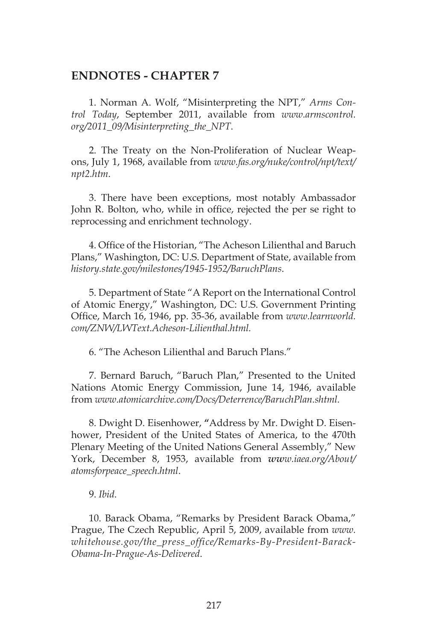#### **ENDNOTES - CHAPTER 7**

1. Norman A. Wolf, "Misinterpreting the NPT," *Arms Control Today*, September 2011, available from *www.armscontrol. org/2011\_09/Misinterpreting\_the\_NPT*.

2. The Treaty on the Non-Proliferation of Nuclear Weapons, July 1, 1968, available from *www.fas.org/nuke/control/npt/text/ npt2.htm*.

3. There have been exceptions, most notably Ambassador John R. Bolton, who, while in office, rejected the per se right to reprocessing and enrichment technology.

4. Office of the Historian, "The Acheson Lilienthal and Baruch Plans," Washington, DC: U.S. Department of State, available from *history.state.gov/milestones/1945-1952/BaruchPlans*.

5. Department of State "A Report on the International Control of Atomic Energy," Washington, DC: U.S. Government Printing Office, March 16, 1946, pp. 35-36, available from *www.learnworld. com/ZNW/LWText.Acheson-Lilienthal.html.*

6. "The Acheson Lilienthal and Baruch Plans."

7. Bernard Baruch, "Baruch Plan," Presented to the United Nations Atomic Energy Commission, June 14, 1946, available from *www.atomicarchive.com/Docs/Deterrence/BaruchPlan.shtml.*

8. Dwight D. Eisenhower, **"**Address by Mr. Dwight D. Eisenhower, President of the United States of America, to the 470th Plenary Meeting of the United Nations General Assembly," New York, December 8, 1953, available from *www.iaea.org/About/ atomsforpeace\_speech.html*.

9. *Ibid*.

10. Barack Obama, "Remarks by President Barack Obama," Prague, The Czech Republic, April 5, 2009, available from *www. whitehouse.gov/the\_press\_office/Remarks-By-President-Barack-Obama-In-Prague-As-Delivered*.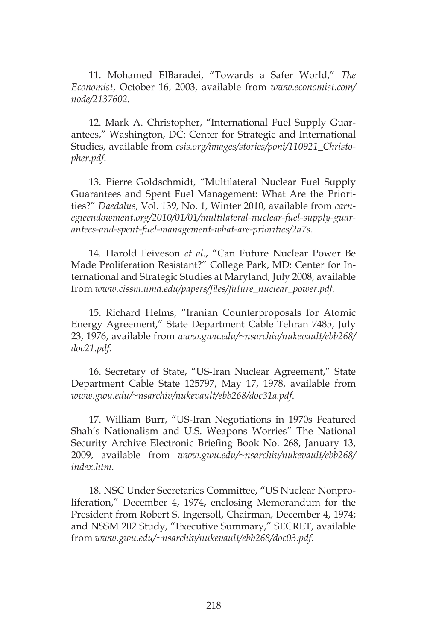11. Mohamed ElBaradei, "Towards a Safer World," *The Economist*, October 16, 2003, available from *www.economist.com/ node/2137602.*

12. Mark A. Christopher, "International Fuel Supply Guarantees," Washington, DC: Center for Strategic and International Studies, available from *csis.org/images/stories/poni/110921\_Christopher.pdf*.

13. Pierre Goldschmidt, "Multilateral Nuclear Fuel Supply Guarantees and Spent Fuel Management: What Are the Priorities?" *Daedalus*, Vol. 139, No. 1, Winter 2010, available from *carnegieendowment.org/2010/01/01/multilateral-nuclear-fuel-supply-guarantees-and-spent-fuel-management-what-are-priorities/2a7s.*

14. Harold Feiveson *et al*., "Can Future Nuclear Power Be Made Proliferation Resistant?" College Park, MD: Center for International and Strategic Studies at Maryland, July 2008, available from *www.cissm.umd.edu/papers/files/future\_nuclear\_power.pdf.*

15. Richard Helms, "Iranian Counterproposals for Atomic Energy Agreement," State Department Cable Tehran 7485, July 23, 1976, available from *www.gwu.edu/~nsarchiv/nukevault/ebb268/ doc21.pdf*.

16. Secretary of State, "US-Iran Nuclear Agreement," State Department Cable State 125797, May 17, 1978, available from *www.gwu.edu/~nsarchiv/nukevault/ebb268/doc31a.pdf*.

17. William Burr, "US-Iran Negotiations in 1970s Featured Shah's Nationalism and U.S. Weapons Worries" The National Security Archive Electronic Briefing Book No. 268, January 13, 2009, available from *www.gwu.edu/~nsarchiv/nukevault/ebb268/ index.htm*.

18. NSC Under Secretaries Committee, **"**US Nuclear Nonproliferation," December 4, 1974**,** enclosing Memorandum for the President from Robert S. Ingersoll, Chairman, December 4, 1974; and NSSM 202 Study, "Executive Summary," SECRET, available from *www.gwu.edu/~nsarchiv/nukevault/ebb268/doc03.pdf*.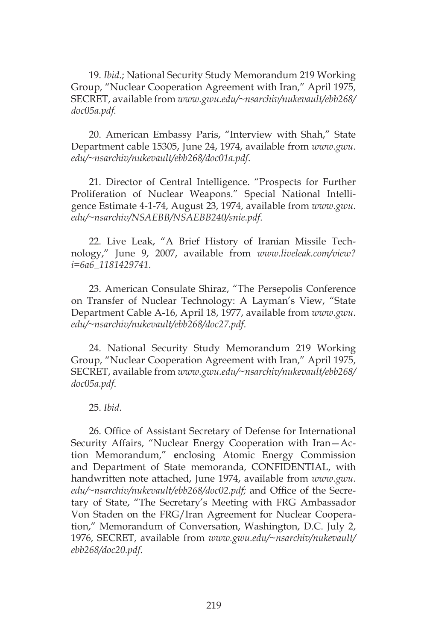19. *Ibid*.; National Security Study Memorandum 219 Working Group, "Nuclear Cooperation Agreement with Iran," April 1975, SECRET, available from *www.gwu.edu/~nsarchiv/nukevault/ebb268/ doc05a.pdf.*

20. American Embassy Paris, "Interview with Shah," State Department cable 15305, June 24, 1974, available from *www.gwu. edu/~nsarchiv/nukevault/ebb268/doc01a.pdf*.

21. Director of Central Intelligence. "Prospects for Further Proliferation of Nuclear Weapons." Special National Intelligence Estimate 4-1-74, August 23, 1974, available from *www.gwu. edu/~nsarchiv/NSAEBB/NSAEBB240/snie.pdf*.

22. Live Leak, "A Brief History of Iranian Missile Technology," June 9, 2007, available from *www.liveleak.com/view? i=6a6\_1181429741*.

23. American Consulate Shiraz, "The Persepolis Conference on Transfer of Nuclear Technology: A Layman's View, "State Department Cable A-16, April 18, 1977, available from *www.gwu. edu/~nsarchiv/nukevault/ebb268/doc27.pdf*.

24. National Security Study Memorandum 219 Working Group, "Nuclear Cooperation Agreement with Iran," April 1975, SECRET, available from *www.gwu.edu/~nsarchiv/nukevault/ebb268/ doc05a.pdf*.

25. *Ibid*.

26. Office of Assistant Secretary of Defense for International Security Affairs, "Nuclear Energy Cooperation with Iran—Action Memorandum," **e**nclosing Atomic Energy Commission and Department of State memoranda, CONFIDENTIAL, with handwritten note attached, June 1974, available from *www.gwu. edu/~nsarchiv/nukevault/ebb268/doc02.pdf;* and Office of the Secretary of State, "The Secretary's Meeting with FRG Ambassador Von Staden on the FRG/Iran Agreement for Nuclear Cooperation," Memorandum of Conversation, Washington, D.C. July 2, 1976, SECRET, available from *www.gwu.edu/~nsarchiv/nukevault/ ebb268/doc20.pdf*.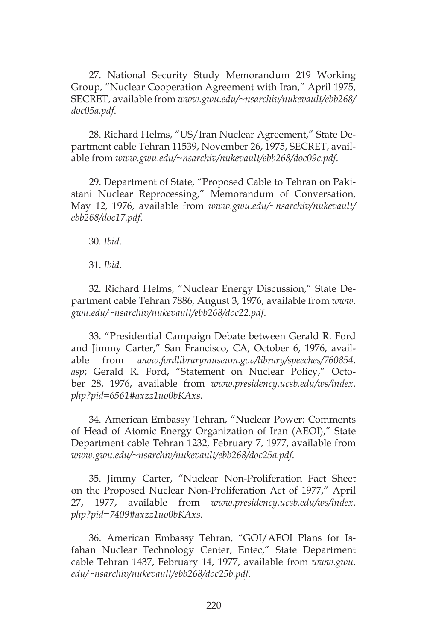27. National Security Study Memorandum 219 Working Group, "Nuclear Cooperation Agreement with Iran," April 1975, SECRET, available from *www.gwu.edu/~nsarchiv/nukevault/ebb268/ doc05a.pdf*.

28. Richard Helms, "US/Iran Nuclear Agreement," State Department cable Tehran 11539, November 26, 1975, SECRET, available from *www.gwu.edu/~nsarchiv/nukevault/ebb268/doc09c.pdf*.

29. Department of State, "Proposed Cable to Tehran on Pakistani Nuclear Reprocessing," Memorandum of Conversation, May 12, 1976, available from *www.gwu.edu/~nsarchiv/nukevault/ ebb268/doc17.pdf*.

30. *Ibid*.

31. *Ibid*.

32. Richard Helms, "Nuclear Energy Discussion," State Department cable Tehran 7886, August 3, 1976, available from *www. gwu.edu/~nsarchiv/nukevault/ebb268/doc22.pdf*.

33. "Presidential Campaign Debate between Gerald R. Ford and Jimmy Carter," San Francisco, CA, October 6, 1976, available from *www.fordlibrarymuseum.gov/library/speeches/760854. asp*; Gerald R. Ford, "Statement on Nuclear Policy," October 28, 1976, available from *www.presidency.ucsb.edu/ws/index. php?pid=6561#axzz1uo0bKAxs.*

34. American Embassy Tehran, "Nuclear Power: Comments of Head of Atomic Energy Organization of Iran (AEOI)," State Department cable Tehran 1232, February 7, 1977, available from *www.gwu.edu/~nsarchiv/nukevault/ebb268/doc25a.pdf*.

35. Jimmy Carter, "Nuclear Non-Proliferation Fact Sheet on the Proposed Nuclear Non-Proliferation Act of 1977," April 27, 1977, available from *www.presidency.ucsb.edu/ws/index. php?pid=7409#axzz1uo0bKAxs*.

36. American Embassy Tehran, "GOI/AEOI Plans for Isfahan Nuclear Technology Center, Entec," State Department cable Tehran 1437, February 14, 1977, available from *www.gwu. edu/~nsarchiv/nukevault/ebb268/doc25b.pdf*.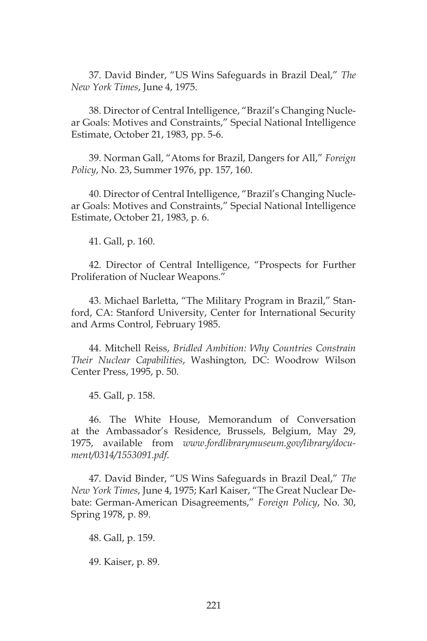37. David Binder, "US Wins Safeguards in Brazil Deal," *The New York Times*, June 4, 1975.

38. Director of Central Intelligence, "Brazil's Changing Nuclear Goals: Motives and Constraints," Special National Intelligence Estimate, October 21, 1983, pp. 5-6.

39. Norman Gall, "Atoms for Brazil, Dangers for All," *Foreign Policy*, No. 23, Summer 1976, pp. 157, 160.

40. Director of Central Intelligence, "Brazil's Changing Nuclear Goals: Motives and Constraints," Special National Intelligence Estimate, October 21, 1983, p. 6.

41. Gall, p. 160.

42. Director of Central Intelligence, "Prospects for Further Proliferation of Nuclear Weapons."

43. Michael Barletta, "The Military Program in Brazil," Stanford, CA: Stanford University, Center for International Security and Arms Control, February 1985.

44. Mitchell Reiss, *Bridled Ambition: Why Countries Constrain Their Nuclear Capabilities*, Washington, DC: Woodrow Wilson Center Press, 1995, p. 50.

45. Gall, p. 158.

46. The White House, Memorandum of Conversation at the Ambassador's Residence, Brussels, Belgium, May 29, 1975, available from *www.fordlibrarymuseum.gov/library/document/0314/1553091.pdf*.

47. David Binder, "US Wins Safeguards in Brazil Deal," *The New York Times*, June 4, 1975; Karl Kaiser, "The Great Nuclear Debate: German-American Disagreements," *Foreign Policy*, No. 30, Spring 1978, p. 89.

48. Gall, p. 159.

49. Kaiser, p. 89.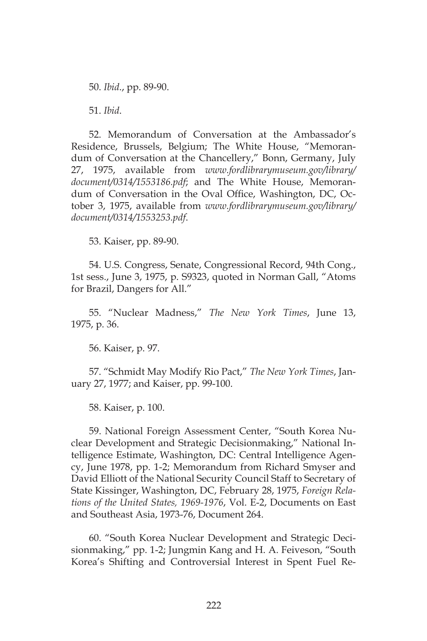50. *Ibid*., pp. 89-90.

51. *Ibid*.

52. Memorandum of Conversation at the Ambassador's Residence, Brussels, Belgium; The White House, "Memorandum of Conversation at the Chancellery," Bonn, Germany, July 27, 1975, available from *www.fordlibrarymuseum.gov/library/ document/0314/1553186.pdf*; and The White House, Memorandum of Conversation in the Oval Office, Washington, DC, October 3, 1975, available from *www.fordlibrarymuseum.gov/library/ document/0314/1553253.pdf*.

53. Kaiser, pp. 89-90.

54. U.S. Congress, Senate, Congressional Record, 94th Cong., 1st sess., June 3, 1975, p. S9323, quoted in Norman Gall, "Atoms for Brazil, Dangers for All."

55. "Nuclear Madness," *The New York Times*, June 13, 1975, p. 36.

56. Kaiser, p. 97.

57. "Schmidt May Modify Rio Pact," *The New York Times*, January 27, 1977; and Kaiser, pp. 99-100.

58. Kaiser, p. 100.

59. National Foreign Assessment Center, "South Korea Nuclear Development and Strategic Decisionmaking," National Intelligence Estimate, Washington, DC: Central Intelligence Agency, June 1978, pp. 1-2; Memorandum from Richard Smyser and David Elliott of the National Security Council Staff to Secretary of State Kissinger, Washington, DC, February 28, 1975, *Foreign Relations of the United States, 1969-1976*, Vol. E-2, Documents on East and Southeast Asia, 1973-76, Document 264.

60. "South Korea Nuclear Development and Strategic Decisionmaking," pp. 1-2; Jungmin Kang and H. A. Feiveson, "South Korea's Shifting and Controversial Interest in Spent Fuel Re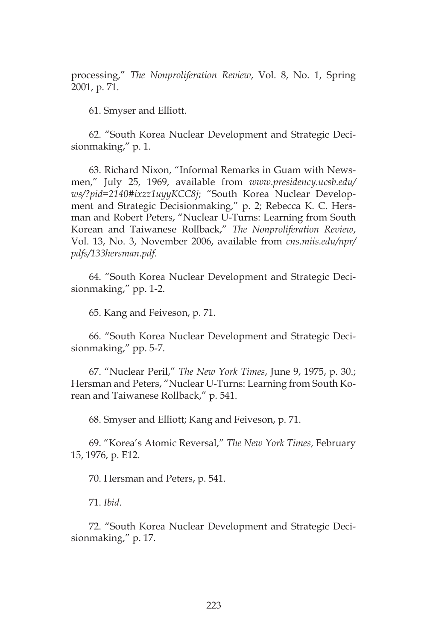processing," *The Nonproliferation Review*, Vol. 8, No. 1, Spring 2001, p. 71.

61. Smyser and Elliott.

62. "South Korea Nuclear Development and Strategic Decisionmaking," p. 1.

63. Richard Nixon, "Informal Remarks in Guam with Newsmen," July 25, 1969, available from *www.presidency.ucsb.edu/ ws/?pid=2140#ixzz1uyyKCC8j*; "South Korea Nuclear Development and Strategic Decisionmaking," p. 2; Rebecca K. C. Hersman and Robert Peters, "Nuclear U-Turns: Learning from South Korean and Taiwanese Rollback," *The Nonproliferation Review*, Vol. 13, No. 3, November 2006, available from *cns.miis.edu/npr/ pdfs/133hersman.pdf*.

64. "South Korea Nuclear Development and Strategic Decisionmaking," pp. 1-2.

65. Kang and Feiveson, p. 71.

66. "South Korea Nuclear Development and Strategic Decisionmaking," pp. 5-7.

67. "Nuclear Peril," *The New York Times*, June 9, 1975, p. 30.; Hersman and Peters, "Nuclear U-Turns: Learning from South Korean and Taiwanese Rollback," p. 541.

68. Smyser and Elliott; Kang and Feiveson, p. 71.

69. "Korea's Atomic Reversal," *The New York Times*, February 15, 1976, p. E12.

70. Hersman and Peters, p. 541.

71. *Ibid*.

72. "South Korea Nuclear Development and Strategic Decisionmaking," p. 17.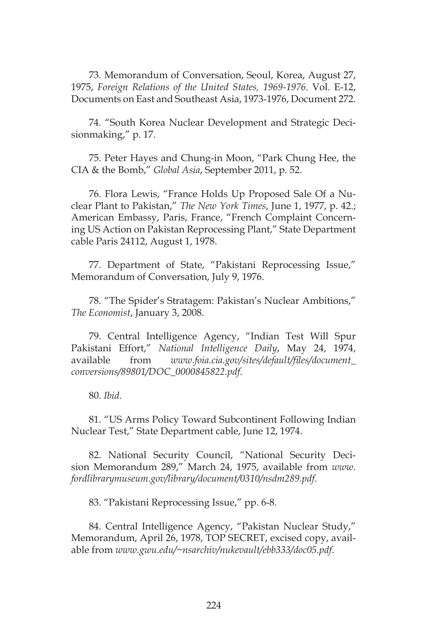73. Memorandum of Conversation, Seoul, Korea, August 27, 1975, *Foreign Relations of the United States, 1969-1976*. Vol. E-12, Documents on East and Southeast Asia, 1973-1976, Document 272.

74. "South Korea Nuclear Development and Strategic Decisionmaking," p. 17.

75. Peter Hayes and Chung-in Moon, "Park Chung Hee, the CIA & the Bomb," *Global Asia*, September 2011, p. 52.

76. Flora Lewis, "France Holds Up Proposed Sale Of a Nuclear Plant to Pakistan," *The New York Times*, June 1, 1977, p. 42.; American Embassy, Paris, France, "French Complaint Concerning US Action on Pakistan Reprocessing Plant," State Department cable Paris 24112, August 1, 1978.

77. Department of State, "Pakistani Reprocessing Issue," Memorandum of Conversation, July 9, 1976.

78. "The Spider's Stratagem: Pakistan's Nuclear Ambitions," *The Economist*, January 3, 2008.

79. Central Intelligence Agency, "Indian Test Will Spur Pakistani Effort," *National Intelligence Daily*, May 24, 1974, available from *www.foia.cia.gov/sites/default/files/document\_ conversions/89801/DOC\_0000845822.pdf*.

80. *Ibid*.

81. "US Arms Policy Toward Subcontinent Following Indian Nuclear Test," State Department cable, June 12, 1974.

82. National Security Council, "National Security Decision Memorandum 289," March 24, 1975, available from *www. fordlibrarymuseum.gov/library/document/0310/nsdm289.pdf*.

83. "Pakistani Reprocessing Issue," pp. 6-8*.*

84. Central Intelligence Agency, "Pakistan Nuclear Study," Memorandum, April 26, 1978, TOP SECRET, excised copy, available from *www.gwu.edu/~nsarchiv/nukevault/ebb333/doc05.pdf*.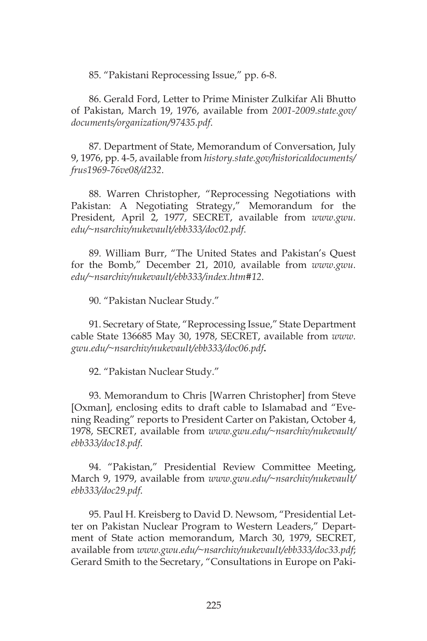85. "Pakistani Reprocessing Issue," pp. 6-8.

86. Gerald Ford, Letter to Prime Minister Zulkifar Ali Bhutto of Pakistan, March 19, 1976, available from *2001-2009.state.gov/ documents/organization/97435.pdf*.

87. Department of State, Memorandum of Conversation, July 9, 1976, pp. 4-5, available from *history.state.gov/historicaldocuments/ frus1969-76ve08/d232*.

88. Warren Christopher, "Reprocessing Negotiations with Pakistan: A Negotiating Strategy," Memorandum for the President, April 2, 1977, SECRET, available from *www.gwu. edu/~nsarchiv/nukevault/ebb333/doc02.pdf*.

89. William Burr, "The United States and Pakistan's Quest for the Bomb," December 21, 2010, available from *www.gwu. edu/~nsarchiv/nukevault/ebb333/index.htm#12*.

90. "Pakistan Nuclear Study."

91. Secretary of State, "Reprocessing Issue," State Department cable State 136685 May 30, 1978, SECRET, available from *www. gwu.edu/~nsarchiv/nukevault/ebb333/doc06.pdf***.**

92. "Pakistan Nuclear Study."

93. Memorandum to Chris [Warren Christopher] from Steve [Oxman], enclosing edits to draft cable to Islamabad and "Evening Reading" reports to President Carter on Pakistan, October 4, 1978, SECRET, available from *www.gwu.edu/~nsarchiv/nukevault/ ebb333/doc18.pdf*.

94. "Pakistan," Presidential Review Committee Meeting, March 9, 1979, available from *www.gwu.edu/~nsarchiv/nukevault/ ebb333/doc29.pdf*.

95. Paul H. Kreisberg to David D. Newsom, "Presidential Letter on Pakistan Nuclear Program to Western Leaders," Department of State action memorandum, March 30, 1979, SECRET, available from *www.gwu.edu/~nsarchiv/nukevault/ebb333/doc33.pdf*; Gerard Smith to the Secretary, "Consultations in Europe on Paki